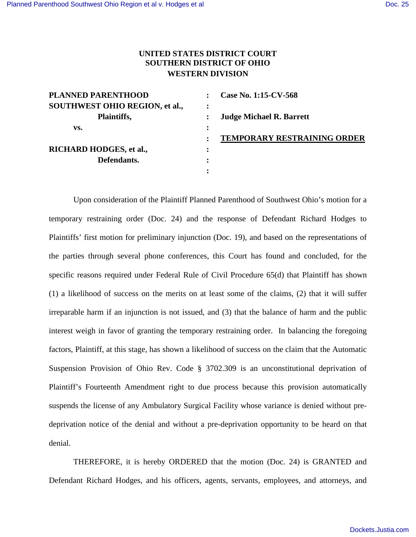## **UNITED STATES DISTRICT COURT SOUTHERN DISTRICT OF OHIO WESTERN DIVISION**

| <b>PLANNED PARENTHOOD</b>      | Case No. 1:15-CV-568            |
|--------------------------------|---------------------------------|
| SOUTHWEST OHIO REGION, et al., |                                 |
| Plaintiffs,                    | <b>Judge Michael R. Barrett</b> |
| VS.                            |                                 |
|                                | TEMPORARY RESTRAINING ORDER     |
| RICHARD HODGES, et al.,        |                                 |
| Defendants.                    |                                 |
|                                |                                 |

Upon consideration of the Plaintiff Planned Parenthood of Southwest Ohio's motion for a temporary restraining order (Doc. 24) and the response of Defendant Richard Hodges to Plaintiffs' first motion for preliminary injunction (Doc. 19), and based on the representations of the parties through several phone conferences, this Court has found and concluded, for the specific reasons required under Federal Rule of Civil Procedure 65(d) that Plaintiff has shown (1) a likelihood of success on the merits on at least some of the claims, (2) that it will suffer irreparable harm if an injunction is not issued, and (3) that the balance of harm and the public interest weigh in favor of granting the temporary restraining order. In balancing the foregoing factors, Plaintiff, at this stage, has shown a likelihood of success on the claim that the Automatic Suspension Provision of Ohio Rev. Code § 3702.309 is an unconstitutional deprivation of Plaintiff's Fourteenth Amendment right to due process because this provision automatically suspends the license of any Ambulatory Surgical Facility whose variance is denied without predeprivation notice of the denial and without a pre-deprivation opportunity to be heard on that denial.

THEREFORE, it is hereby ORDERED that the motion (Doc. 24) is GRANTED and Defendant Richard Hodges, and his officers, agents, servants, employees, and attorneys, and